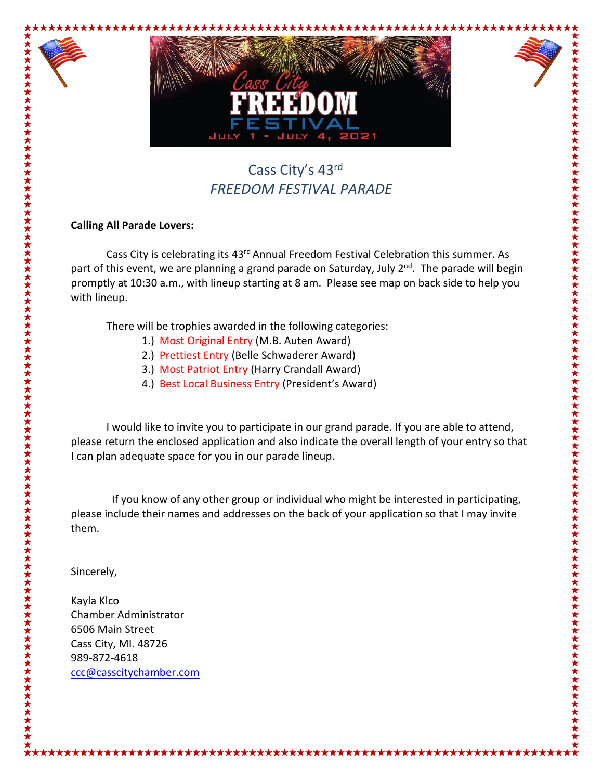

## Cass City's 43rd *FREEDOM FESTIVAL PARADE*

## **Calling All Parade Lovers:**

Cass City is celebrating its 43<sup>rd</sup> Annual Freedom Festival Celebration this summer. As part of this event, we are planning a grand parade on Saturday, July 2<sup>nd</sup>. The parade will begin promptly at 10:30 a.m., with lineup starting at 8 am. Please see map on back side to help you with lineup.

There will be trophies awarded in the following categories:

- 1.) Most Original Entry (M.B. Auten Award)
- 2.) Prettiest Entry (Belle Schwaderer Award)
- 3.) Most Patriot Entry (Harry Crandall Award)
- 4.) Best Local Business Entry (President's Award)

I would like to invite you to participate in our grand parade. If you are able to attend, please return the enclosed application and also indicate the overall length of your entry so that I can plan adequate space for you in our parade lineup.

 If you know of any other group or individual who might be interested in participating, please include their names and addresses on the back of your application so that I may invite them.

Sincerely,

Kayla Klco Chamber Administrator 6506 Main Street Cass City, MI. 48726 989-872-4618 [ccc@casscitychamber.com](mailto:ccc@casscitychamber.com)